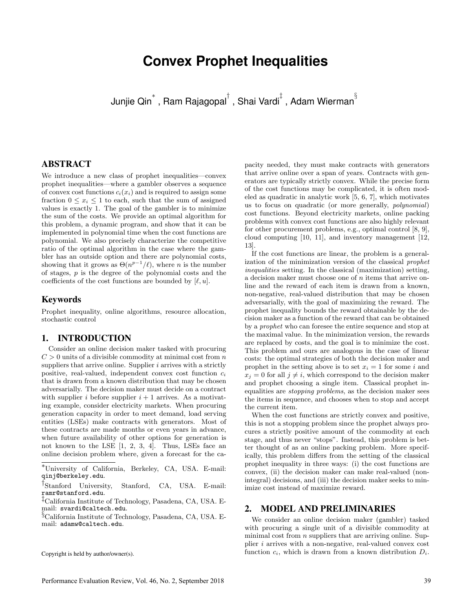# **Convex Prophet Inequalities**

Junjie Qin<sup>∗</sup> , Ram Rajagopal*†* , Shai Vardi*‡* , Adam Wierman*§*

# ABSTRACT

We introduce a new class of prophet inequalities—convex prophet inequalities—where a gambler observes a sequence of convex cost functions  $c_i(x_i)$  and is required to assign some fraction  $0 \leq x_i \leq 1$  to each, such that the sum of assigned values is exactly 1. The goal of the gambler is to minimize the sum of the costs. We provide an optimal algorithm for this problem, a dynamic program, and show that it can be implemented in polynomial time when the cost functions are polynomial. We also precisely characterize the competitive ratio of the optimal algorithm in the case where the gambler has an outside option and there are polynomial costs, showing that it grows as  $\Theta(n^{p-1}/\ell)$ , where *n* is the number of stages, *p* is the degree of the polynomial costs and the coefficients of the cost functions are bounded by  $[\ell, u]$ .

#### Keywords

Prophet inequality, online algorithms, resource allocation, stochastic control

## 1. INTRODUCTION

Consider an online decision maker tasked with procuring  $C > 0$  units of a divisible commodity at minimal cost from  $n$ suppliers that arrive online. Supplier *i* arrives with a strictly positive, real-valued, independent convex cost function *c<sup>i</sup>* that is drawn from a known distribution that may be chosen adversarially. The decision maker must decide on a contract with supplier *i* before supplier  $i + 1$  arrives. As a motivating example, consider electricity markets. When procuring generation capacity in order to meet demand, load serving entities (LSEs) make contracts with generators. Most of these contracts are made months or even years in advance, when future availability of other options for generation is not known to the LSE [1, 2, 3, 4]. Thus, LSEs face an online decision problem where, given a forecast for the ca-

Copyright is held by author/owner(s).

pacity needed, they must make contracts with generators that arrive online over a span of years. Contracts with generators are typically strictly convex. While the precise form of the cost functions may be complicated, it is often modeled as quadratic in analytic work [5, 6, 7], which motivates us to focus on quadratic (or more generally, *polynomial*) cost functions. Beyond electricity markets, online packing problems with convex cost functions are also highly relevant for other procurement problems, e.g., optimal control [8, 9], cloud computing [10, 11], and inventory management [12, 13].

If the cost functions are linear, the problem is a generalization of the minimization version of the classical *prophet inequalities* setting. In the classical (maximization) setting, a decision maker must choose one of *n* items that arrive online and the reward of each item is drawn from a known, non-negative, real-valued distribution that may be chosen adversarially, with the goal of maximizing the reward. The prophet inequality bounds the reward obtainable by the decision maker as a function of the reward that can be obtained by a *prophet* who can foresee the entire sequence and stop at the maximal value. In the minimization version, the rewards are replaced by costs, and the goal is to minimize the cost. This problem and ours are analogous in the case of linear costs: the optimal strategies of both the decision maker and prophet in the setting above is to set  $x_i = 1$  for some *i* and  $x_i = 0$  for all  $i \neq i$ , which correspond to the decision maker and prophet choosing a single item. Classical prophet inequalities are *stopping problems*, as the decision maker sees the items in sequence, and chooses when to stop and accept the current item.

When the cost functions are strictly convex and positive, this is not a stopping problem since the prophet always procures a strictly positive amount of the commodity at each stage, and thus never "stops". Instead, this problem is better thought of as an online packing problem. More specifically, this problem differs from the setting of the classical prophet inequality in three ways: (i) the cost functions are convex, (ii) the decision maker can make real-valued (nonintegral) decisions, and (iii) the decision maker seeks to minimize cost instead of maximize reward.

#### 2. MODEL AND PRELIMINARIES

We consider an online decision maker (gambler) tasked with procuring a single unit of a divisible commodity at minimal cost from *n* suppliers that are arriving online. Supplier *i* arrives with a non-negative, real-valued convex cost function  $c_i$ , which is drawn from a known distribution  $D_i$ .

<sup>∗</sup>University of California, Berkeley, CA, USA. E-mail: qinj@berkeley.edu.

*<sup>†</sup>*Stanford University, Stanford, CA, USA. E-mail: ramr@stanford.edu.

*<sup>‡</sup>*California Institute of Technology, Pasadena, CA, USA. Email: svardi@caltech.edu.

*<sup>§</sup>*California Institute of Technology, Pasadena, CA, USA. Email: adamw@caltech.edu.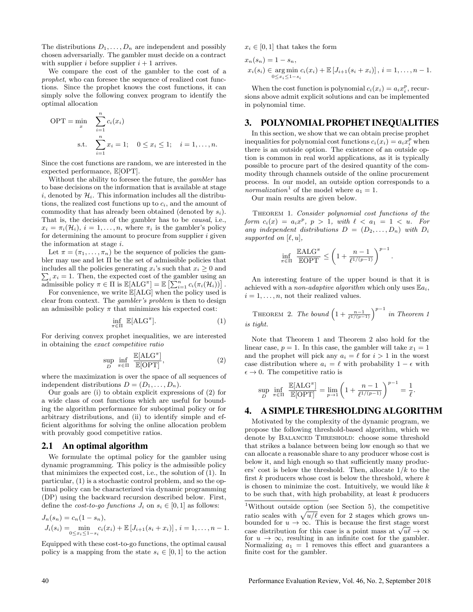The distributions  $D_1, \ldots, D_n$  are independent and possibly chosen adversarially. The gambler must decide on a contract with supplier *i* before supplier  $i + 1$  arrives.

We compare the cost of the gambler to the cost of a *prophet*, who can foresee the sequence of realized cost functions. Since the prophet knows the cost functions, it can simply solve the following convex program to identify the optimal allocation

$$
OPT = \min_{x} \sum_{i=1}^{n} c_i(x_i)
$$
  
s.t. 
$$
\sum_{i=1}^{n} x_i = 1; \quad 0 \le x_i \le 1; \quad i = 1, ..., n.
$$

Since the cost functions are random, we are interested in the expected performance, E[OPT].

Without the ability to foresee the future, the *gambler* has to base decisions on the information that is available at stage *i*, denoted by  $\mathcal{H}_i$ . This information includes all the distributions, the realized cost functions up to  $c_i$ , and the amount of commodity that has already been obtained (denoted by *si*). That is, the decision of the gambler has to be *causal*, i.e.,  $x_i = \pi_i(\mathcal{H}_i)$ ,  $i = 1, \ldots, n$ , where  $\pi_i$  is the gambler's policy for determining the amount to procure from supplier *i* given the information at stage *i*.

Let  $\pi = (\pi_1, \ldots, \pi_n)$  be the sequence of policies the gambler may use and let  $\Pi$  be the set of admissible policies that  $\sum_i x_i = 1$ . Then, the expected cost of the gambler using an includes all the policies generating  $x_i$ 's such that  $x_i \geq 0$  and  $\text{admissible policy } \pi \in \Pi \text{ is } \mathbb{E}[\text{ALG}^{\pi}] = \mathbb{E} \left[ \sum_{i=1}^{n} c_i(\pi_i(\mathcal{H}_i)) \right].$ 

For convenience, we write  $\mathbb{E}[ALG]$  when the policy used is clear from context. The *gambler's problem* is then to design an admissible policy  $\pi$  that minimizes his expected cost:

$$
\inf_{\pi \in \Pi} \ \mathbb{E}[\text{ALG}^{\pi}]. \tag{1}
$$

For deriving convex prophet inequalities, we are interested in obtaining the *exact competitive ratio*

$$
\sup_{D} \inf_{\pi \in \Pi} \frac{\mathbb{E}[\text{ALG}^{\pi}]}{\mathbb{E}[\text{OPT}]},\tag{2}
$$

where the maximization is over the space of all sequences of independent distributions  $D = (D_1, \ldots, D_n)$ .

Our goals are (i) to obtain explicit expressions of (2) for a wide class of cost functions which are useful for bounding the algorithm performance for suboptimal policy or for arbitrary distributions, and (ii) to identify simple and efficient algorithms for solving the online allocation problem with provably good competitive ratios.

#### 2.1 An optimal algorithm

We formulate the optimal policy for the gambler using dynamic programming. This policy is the admissible policy that minimizes the expected cost, i.e., the solution of (1). In particular, (1) is a stochastic control problem, and so the optimal policy can be characterized via dynamic programming (DP) using the backward recursion described below. First, define the *cost-to-go functions*  $J_i$  on  $s_i \in [0,1]$  as follows:

$$
J_n(s_n) = c_n(1 - s_n),
$$
  
\n
$$
J_i(s_i) = \min_{0 \le x_i \le 1 - s_i} c_i(x_i) + \mathbb{E}[J_{i+1}(s_i + x_i)], i = 1, ..., n-1.
$$

Equipped with these cost-to-go functions, the optimal causal policy is a mapping from the state  $s_i \in [0,1]$  to the action  $x_i \in [0,1]$  that takes the form

$$
x_n(s_n) = 1 - s_n,
$$
  
\n
$$
x_i(s_i) \in \underset{0 \le x_i \le 1 - s_i}{\arg \min} c_i(x_i) + \mathbb{E}[J_{i+1}(s_i + x_i)], i = 1, \dots, n-1.
$$

When the cost function is polynomial  $c_i(x_i) = a_i x_i^p$ , recursions above admit explicit solutions and can be implemented in polynomial time.

## 3. POLYNOMIAL PROPHET INEQUALITIES

In this section, we show that we can obtain precise prophet inequalities for polynomial cost functions  $c_i(x_i) = a_i x_i^p$  when there is an outside option. The existence of an outside option is common in real world applications, as it is typically possible to procure part of the desired quantity of the commodity through channels outside of the online procurement process. In our model, an outside option corresponds to a *normalization*<sup>1</sup> of the model where  $a_1 = 1$ .

Our main results are given below.

Theorem 1. *Consider polynomial cost functions of the form*  $c_i(x) = a_i x^p$ ,  $p > 1$ , with  $\ell < a_1 = 1 < u$ . For any independent distributions  $D = (D_2, \ldots, D_n)$  with  $D_i$ *supported on*  $[\ell, u]$ *,* 

$$
\inf_{\pi \in \Pi} \frac{\mathbb{E}ALG^{\pi}}{\mathbb{E}OPT} \le \left(1 + \frac{n-1}{\ell^{1/(p-1)}}\right)^{p-1}
$$

*.*

An interesting feature of the upper bound is that it is achieved with a *non-adaptive algorithm* which only uses E*ai*,  $i = 1, \ldots, n$ , not their realized values.

THEOREM 2. *The bound*  $\left(1 + \frac{n-1}{\ell^{1/(p-1)}}\right)^{p-1}$  *in Theorem 1 is tight.*

Note that Theorem 1 and Theorem 2 also hold for the linear case,  $p = 1$ . In this case, the gambler will take  $x_1 = 1$ and the prophet will pick any  $a_i = \ell$  for  $i > 1$  in the worst case distribution where  $a_i = \ell$  with probability  $1 - \epsilon$  with  $\epsilon \to 0$ . The competitive ratio is

$$
\sup_{D} \inf_{\pi \in \Pi} \frac{\mathbb{E}[\text{ALG}^{\pi}]}{\mathbb{E}[\text{OPT}]} = \lim_{p \to 1} \left( 1 + \frac{n-1}{\ell^{1/(p-1)}} \right)^{p-1} = \frac{1}{\ell}.
$$

# 4. A SIMPLE THRESHOLDING ALGORITHM

Motivated by the complexity of the dynamic program, we propose the following threshold-based algorithm, which we denote by BALANCED THRESHOLD: choose some threshold that strikes a balance between being low enough so that we can allocate a reasonable share to any producer whose cost is below it, and high enough so that sufficiently many producers' cost is below the threshold. Then, allocate 1*/k* to the first  $k$  producers whose cost is below the threshold, where  $k$ is chosen to minimize the cost. Intuitively, we would like *k* to be such that, with high probability, at least *k* producers

<sup>1</sup>Without outside option (see Section 5), the competitive ratio scales with  $\sqrt{u/\ell}$  even for 2 stages which grows unbounded for  $u \to \infty$ . This is because the first stage worst case distribution for this case is a point mass at  $\sqrt{u\ell} \to \infty$ for  $u \to \infty$ , resulting in an infinite cost for the gambler. Normalizing  $a_1 = 1$  removes this effect and guarantees a finite cost for the gambler.